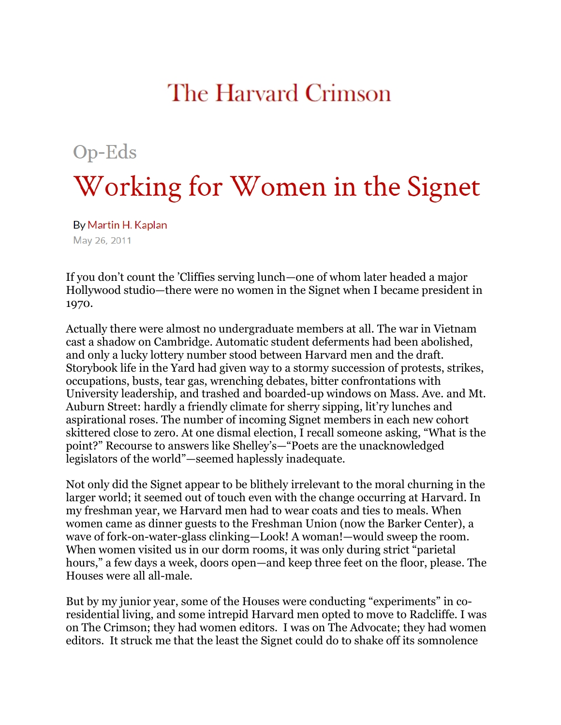## The Harvard Crimson

## $Op$ -Eds Working for Women in the Signet

By Martin H. Kaplan May 26, 2011

If you don't count the 'Cliffies serving lunch—one of whom later headed a major Hollywood studio—there were no women in the Signet when I became president in 1970.

Actually there were almost no undergraduate members at all. The war in Vietnam cast a shadow on Cambridge. Automatic student deferments had been abolished, and only a lucky lottery number stood between Harvard men and the draft. Storybook life in the Yard had given way to a stormy succession of protests, strikes, occupations, busts, tear gas, wrenching debates, bitter confrontations with University leadership, and trashed and boarded-up windows on Mass. Ave. and Mt. Auburn Street: hardly a friendly climate for sherry sipping, lit'ry lunches and aspirational roses. The number of incoming Signet members in each new cohort skittered close to zero. At one dismal election, I recall someone asking, "What is the point?" Recourse to answers like Shelley's—"Poets are the unacknowledged legislators of the world"—seemed haplessly inadequate.

Not only did the Signet appear to be blithely irrelevant to the moral churning in the larger world; it seemed out of touch even with the change occurring at Harvard. In my freshman year, we Harvard men had to wear coats and ties to meals. When women came as dinner guests to the Freshman Union (now the Barker Center), a wave of fork-on-water-glass clinking—Look! A woman!—would sweep the room. When women visited us in our dorm rooms, it was only during strict "parietal hours," a few days a week, doors open—and keep three feet on the floor, please. The Houses were all all-male.

But by my junior year, some of the Houses were conducting "experiments" in coresidential living, and some intrepid Harvard men opted to move to Radcliffe. I was on The Crimson; they had women editors. I was on The Advocate; they had women editors. It struck me that the least the Signet could do to shake off its somnolence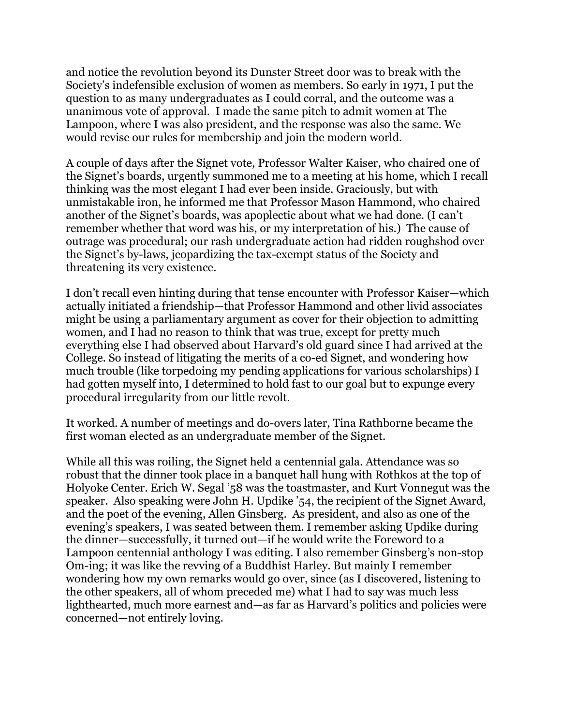and notice the revolution beyond its Dunster Street door was to break with the Society's indefensible exclusion of women as members. So early in 1971, I put the question to as many undergraduates as I could corral, and the outcome was a unanimous vote of approval. I made the same pitch to admit women at The Lampoon, where I was also president, and the response was also the same. We would revise our rules for membership and join the modern world.

A couple of days after the Signet vote, Professor Walter Kaiser, who chaired one of the Signet's boards, urgently summoned me to a meeting at his home, which I recall thinking was the most elegant I had ever been inside. Graciously, but with unmistakable iron, he informed me that Professor Mason Hammond, who chaired another of the Signet's boards, was apoplectic about what we had done. (I can't remember whether that word was his, or my interpretation of his.) The cause of outrage was procedural; our rash undergraduate action had ridden roughshod over the Signet's by-laws, jeopardizing the tax-exempt status of the Society and threatening its very existence.

I don't recall even hinting during that tense encounter with Professor Kaiser—which actually initiated a friendship—that Professor Hammond and other livid associates might be using a parliamentary argument as cover for their objection to admitting women, and I had no reason to think that was true, except for pretty much everything else I had observed about Harvard's old guard since I had arrived at the College. So instead of litigating the merits of a co-ed Signet, and wondering how much trouble (like torpedoing my pending applications for various scholarships) I had gotten myself into, I determined to hold fast to our goal but to expunge every procedural irregularity from our little revolt.

It worked. A number of meetings and do-overs later, Tina Rathborne became the first woman elected as an undergraduate member of the Signet.

While all this was roiling, the Signet held a centennial gala. Attendance was so robust that the dinner took place in a banquet hall hung with Rothkos at the top of Holyoke Center. Erich W. Segal '58 was the toastmaster, and Kurt Vonnegut was the speaker. Also speaking were John H. Updike '54, the recipient of the Signet Award, and the poet of the evening, Allen Ginsberg. As president, and also as one of the evening's speakers, I was seated between them. I remember asking Updike during the dinner—successfully, it turned out—if he would write the Foreword to a Lampoon centennial anthology I was editing. I also remember Ginsberg's non-stop Om-ing; it was like the revving of a Buddhist Harley. But mainly I remember wondering how my own remarks would go over, since (as I discovered, listening to the other speakers, all of whom preceded me) what I had to say was much less lighthearted, much more earnest and—as far as Harvard's politics and policies were concerned—not entirely loving.